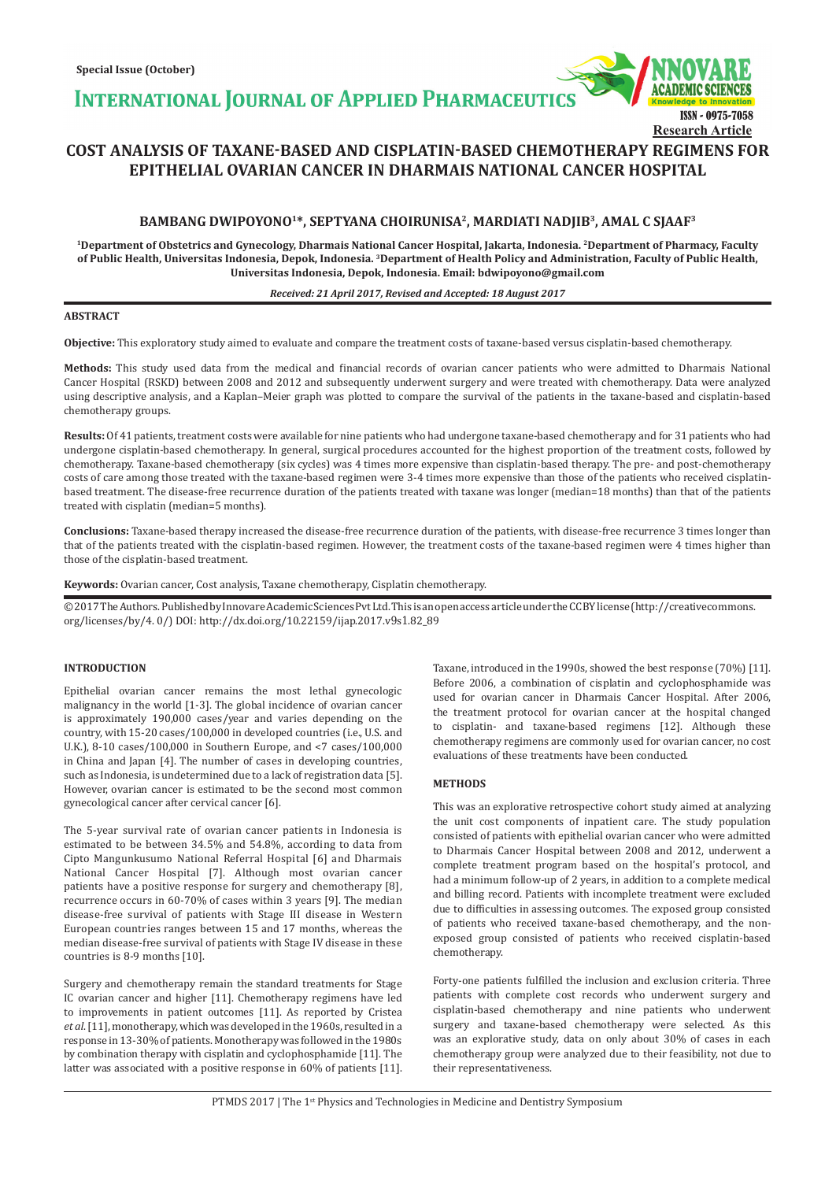**INTERNATIONAL JOURNAL OF APPLIED PHARMACEUTICS** 



# **COST ANALYSIS OF TAXANE-BASED AND CISPLATIN-BASED CHEMOTHERAPY REGIMENS FOR EPITHELIAL OVARIAN CANCER IN DHARMAIS NATIONAL CANCER HOSPITAL**

# **BAMBANG DWIPOYONO<sup>1</sup>\*, SEPTYANA CHOIRUNISA<sup>2</sup>, MARDIATI NADJIB<sup>3</sup>, AMAL C SJAAF<sup>3</sup>**

**<sup>1</sup>Department of Obstetrics and Gynecology, Dharmais National Cancer Hospital, Jakarta, Indonesia. <sup>2</sup>Department of Pharmacy, Faculty of Public Health, Universitas Indonesia, Depok, Indonesia. <sup>3</sup>Department of Health Policy and Administration, Faculty of Public Health, Universitas Indonesia, Depok, Indonesia. Email: bdwipoyono@gmail.com**

### *Received: 21 April 2017, Revised and Accepted: 18 August 2017*

# **ABSTRACT**

**Objective:** This exploratory study aimed to evaluate and compare the treatment costs of taxane-based versus cisplatin-based chemotherapy.

**Methods:** This study used data from the medical and financial records of ovarian cancer patients who were admitted to Dharmais National Cancer Hospital (RSKD) between 2008 and 2012 and subsequently underwent surgery and were treated with chemotherapy. Data were analyzed using descriptive analysis, and a Kaplan–Meier graph was plotted to compare the survival of the patients in the taxane-based and cisplatin-based chemotherapy groups.

**Results:** Of 41 patients, treatment costs were available for nine patients who had undergone taxane-based chemotherapy and for 31 patients who had undergone cisplatin-based chemotherapy. In general, surgical procedures accounted for the highest proportion of the treatment costs, followed by chemotherapy. Taxane-based chemotherapy (six cycles) was 4 times more expensive than cisplatin-based therapy. The pre- and post-chemotherapy costs of care among those treated with the taxane-based regimen were 3-4 times more expensive than those of the patients who received cisplatinbased treatment. The disease-free recurrence duration of the patients treated with taxane was longer (median=18 months) than that of the patients treated with cisplatin (median=5 months).

**Conclusions:** Taxane-based therapy increased the disease-free recurrence duration of the patients, with disease-free recurrence 3 times longer than that of the patients treated with the cisplatin-based regimen. However, the treatment costs of the taxane-based regimen were 4 times higher than those of the cisplatin-based treatment.

**Keywords:** Ovarian cancer, Cost analysis, Taxane chemotherapy, Cisplatin chemotherapy.

© 2017 The Authors. Published by Innovare Academic Sciences Pvt Ltd. This is an open access article under the CC BY license (http://creativecommons. org/licenses/by/4. 0/) DOI: http://dx.doi.org/10.22159/ijap.2017.v9s1.82\_89

# **INTRODUCTION**

Epithelial ovarian cancer remains the most lethal gynecologic malignancy in the world [1-3]. The global incidence of ovarian cancer is approximately 190,000 cases/year and varies depending on the country, with 15-20 cases/100,000 in developed countries (i.e., U.S. and U.K.), 8-10 cases/100,000 in Southern Europe, and <7 cases/100,000 in China and Japan [4]. The number of cases in developing countries, such as Indonesia, is undetermined due to a lack of registration data [5]. However, ovarian cancer is estimated to be the second most common gynecological cancer after cervical cancer [6].

The 5-year survival rate of ovarian cancer patients in Indonesia is estimated to be between 34.5% and 54.8%, according to data from Cipto Mangunkusumo National Referral Hospital [6] and Dharmais National Cancer Hospital [7]. Although most ovarian cancer patients have a positive response for surgery and chemotherapy [8], recurrence occurs in 60-70% of cases within 3 years [9]. The median disease-free survival of patients with Stage III disease in Western European countries ranges between 15 and 17 months, whereas the median disease-free survival of patients with Stage IV disease in these countries is 8-9 months [10].

Surgery and chemotherapy remain the standard treatments for Stage IC ovarian cancer and higher [11]. Chemotherapy regimens have led to improvements in patient outcomes [11]. As reported by Cristea *et al*.[11], monotherapy, which was developed in the 1960s, resulted in a response in 13-30% of patients. Monotherapy was followed in the 1980s by combination therapy with cisplatin and cyclophosphamide [11]. The latter was associated with a positive response in 60% of patients [11]. Taxane, introduced in the 1990s, showed the best response (70%) [11]. Before 2006, a combination of cisplatin and cyclophosphamide was used for ovarian cancer in Dharmais Cancer Hospital. After 2006, the treatment protocol for ovarian cancer at the hospital changed to cisplatin- and taxane-based regimens [12]. Although these chemotherapy regimens are commonly used for ovarian cancer, no cost evaluations of these treatments have been conducted.

## **METHODS**

This was an explorative retrospective cohort study aimed at analyzing the unit cost components of inpatient care. The study population consisted of patients with epithelial ovarian cancer who were admitted to Dharmais Cancer Hospital between 2008 and 2012, underwent a complete treatment program based on the hospital's protocol, and had a minimum follow-up of 2 years, in addition to a complete medical and billing record. Patients with incomplete treatment were excluded due to difficulties in assessing outcomes. The exposed group consisted of patients who received taxane-based chemotherapy, and the nonexposed group consisted of patients who received cisplatin-based chemotherapy.

Forty-one patients fulfilled the inclusion and exclusion criteria. Three patients with complete cost records who underwent surgery and cisplatin-based chemotherapy and nine patients who underwent surgery and taxane-based chemotherapy were selected. As this was an explorative study, data on only about 30% of cases in each chemotherapy group were analyzed due to their feasibility, not due to their representativeness.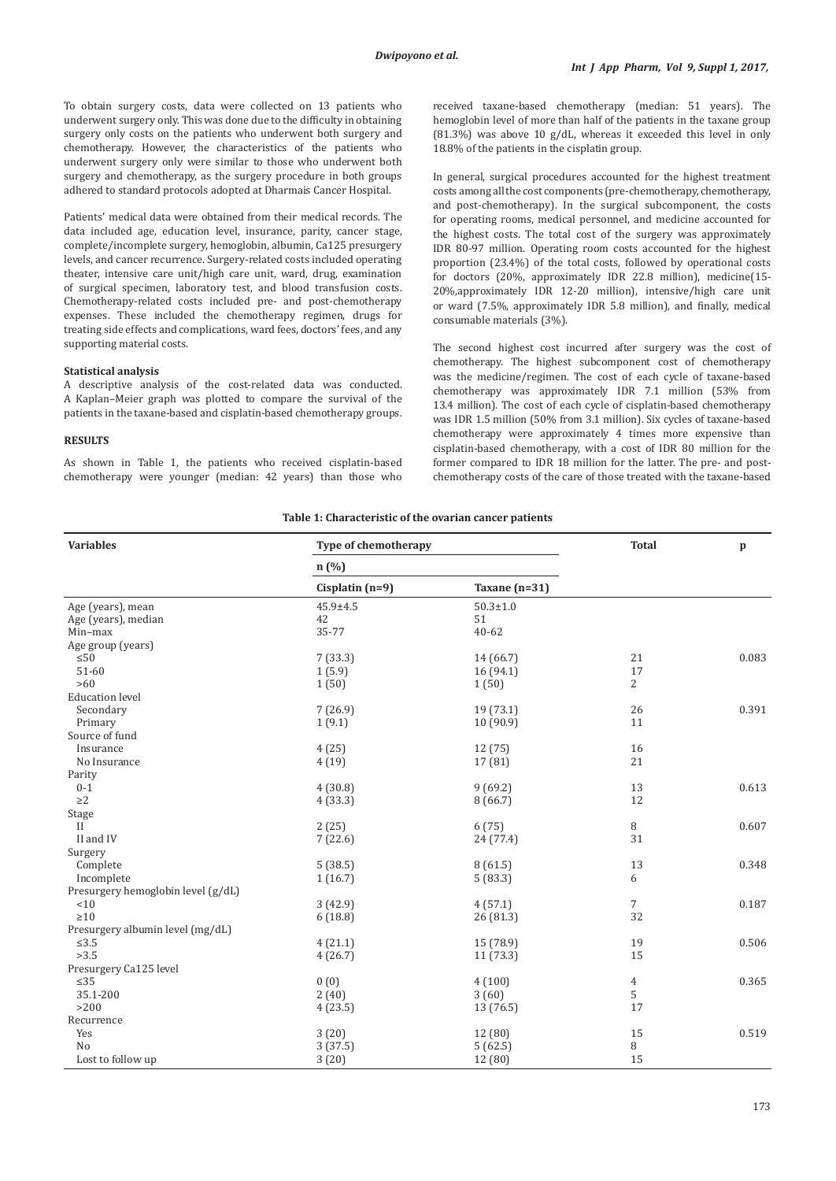To obtain surgery costs, data were collected on 13 patients who underwent surgery only. This was done due to the difficulty in obtaining surgery only costs on the patients who underwent both surgery and chemotherapy. However, the characteristics of the patients who underwent surgery only were similar to those who underwent both surgery and chemotherapy, as the surgery procedure in both groups adhered to standard protocols adopted at Dharmais Cancer Hospital.

Patients' medical data were obtained from their medical records. The data included age, education level, insurance, parity, cancer stage, complete/incomplete surgery, hemoglobin, albumin, Ca125 presurgery levels, and cancer recurrence. Surgery-related costs included operating theater, intensive care unit/high care unit, ward, drug, examination of surgical specimen, laboratory test, and blood transfusion costs. Chemotherapy-related costs included pre- and post-chemotherapy expenses. These included the chemotherapy regimen, drugs for treating side effects and complications, ward fees, doctors' fees, and any supporting material costs.

#### **Statistical analysis**

A descriptive analysis of the cost-related data was conducted. A Kaplan–Meier graph was plotted to compare the survival of the patients in the taxane-based and cisplatin-based chemotherapy groups.

#### **RESULTS**

As shown in Table 1, the patients who received cisplatin-based chemotherapy were younger (median: 42 years) than those who received taxane-based chemotherapy (median: 51 years). The hemoglobin level of more than half of the patients in the taxane group  $(81.3%)$  was above 10 g/dL, whereas it exceeded this level in only 18.8% of the patients in the cisplatin group.

In general, surgical procedures accounted for the highest treatment costs among all the cost components (pre-chemotherapy, chemotherapy, and post-chemotherapy). In the surgical subcomponent, the costs for operating rooms, medical personnel, and medicine accounted for the highest costs. The total cost of the surgery was approximately IDR 80-97 million. Operating room costs accounted for the highest proportion (23.4%) of the total costs, followed by operational costs for doctors (20%, approximately IDR 22.8 million), medicine(15- 20%,approximately IDR 12-20 million), intensive/high care unit or ward (7.5%, approximately IDR 5.8 million), and finally, medical consumable materials (3%).

The second highest cost incurred after surgery was the cost of chemotherapy. The highest subcomponent cost of chemotherapy was the medicine/regimen. The cost of each cycle of taxane-based chemotherapy was approximately IDR 7.1 million (53% from 13.4 million). The cost of each cycle of cisplatin-based chemotherapy was IDR 1.5 million (50% from 3.1 million). Six cycles of taxane-based chemotherapy were approximately 4 times more expensive than cisplatin-based chemotherapy, with a cost of IDR 80 million for the former compared to IDR 18 million for the latter. The pre- and postchemotherapy costs of the care of those treated with the taxane-based

#### **Table 1: Characteristic of the ovarian cancer patients**

| <b>Variables</b>                   | Type of chemotherapy | <b>Total</b>    | $\mathbf{p}$   |       |
|------------------------------------|----------------------|-----------------|----------------|-------|
|                                    | n(%                  |                 |                |       |
|                                    | Cisplatin $(n=9)$    | Taxane $(n=31)$ |                |       |
| Age (years), mean                  | $45.9 \pm 4.5$       | $50.3 \pm 1.0$  |                |       |
| Age (years), median                | 42                   | 51              |                |       |
| Min-max                            | 35-77                | $40 - 62$       |                |       |
| Age group (years)                  |                      |                 |                |       |
| $\leq 50$                          | 7(33.3)              | 14 (66.7)       | 21             | 0.083 |
| 51-60                              | 1(5.9)               | 16(94.1)        | 17             |       |
| >60                                | 1(50)                | 1(50)           | $\overline{2}$ |       |
| <b>Education level</b>             |                      |                 |                |       |
| Secondary                          | 7(26.9)              | 19 (73.1)       | 26             | 0.391 |
| Primary                            | 1(9.1)               | 10 (90.9)       | 11             |       |
| Source of fund                     |                      |                 |                |       |
| Insurance                          | 4(25)                | 12(75)          | 16             |       |
| No Insurance                       | 4(19)                | 17 (81)         | 21             |       |
| Parity                             |                      |                 |                |       |
| $0 - 1$                            | 4(30.8)              | 9(69.2)         | 13             | 0.613 |
| $\geq$ 2                           | 4(33.3)              | 8(66.7)         | 12             |       |
| Stage                              |                      |                 |                |       |
| $\rm{II}$                          | 2(25)                | 6(75)           | 8              | 0.607 |
| II and IV                          | 7(22.6)              | 24 (77.4)       | 31             |       |
| Surgery                            |                      |                 |                |       |
| Complete                           | 5(38.5)              | 8(61.5)         | 13             | 0.348 |
| Incomplete                         | 1(16.7)              | 5(83.3)         | 6              |       |
| Presurgery hemoglobin level (g/dL) |                      |                 |                |       |
| < 10                               | 3(42.9)              | 4(57.1)         | 7              | 0.187 |
| $\geq 10$                          | 6(18.8)              | 26 (81.3)       | 32             |       |
| Presurgery albumin level (mg/dL)   |                      |                 |                |       |
| $\leq 3.5$                         | 4(21.1)              | 15 (78.9)       | 19             | 0.506 |
| >3.5                               | 4(26.7)              | 11(73.3)        | 15             |       |
| Presurgery Ca125 level             |                      |                 |                |       |
| $\leq 35$                          | 0(0)                 | 4(100)          | 4              | 0.365 |
| 35.1-200                           | 2(40)                | 3(60)           | 5              |       |
| >200                               | 4(23.5)              | 13 (76.5)       | 17             |       |
| Recurrence                         |                      |                 |                |       |
| Yes                                | 3(20)                | 12 (80)         | 15             | 0.519 |
| N <sub>o</sub>                     | 3(37.5)              | 5(62.5)         | 8              |       |
| Lost to follow up                  | 3(20)                | 12 (80)         | 15             |       |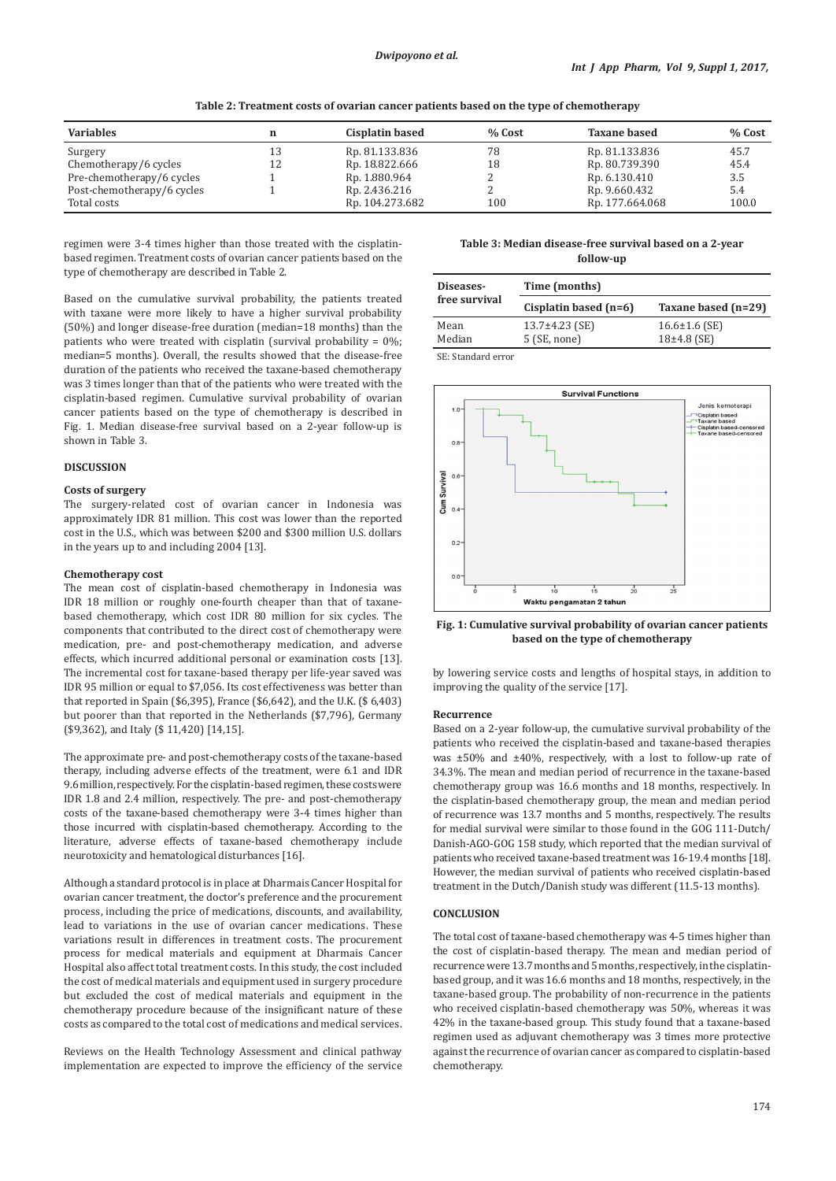| Table 2: Treatment costs of ovarian cancer patients based on the type of chemotherapy |
|---------------------------------------------------------------------------------------|
|                                                                                       |

| <b>Variables</b>           |    | <b>Cisplatin based</b> | % Cost | <b>Taxane based</b> | % Cost |
|----------------------------|----|------------------------|--------|---------------------|--------|
| Surgery                    | 13 | Rp. 81.133.836         | 78     | Rp. 81.133.836      | 45.7   |
| Chemotherapy/6 cycles      | 12 | Rp. 18.822.666         | 18     | Rp. 80.739.390      | 45.4   |
| Pre-chemotherapy/6 cycles  |    | Rp. 1.880.964          |        | Rp. 6.130.410       | 3.5    |
| Post-chemotherapy/6 cycles |    | Rp. 2.436.216          |        | Rp. 9.660.432       | 5.4    |
| Total costs                |    | Rp. 104.273.682        | 100    | Rp. 177.664.068     | 100.0  |

regimen were 3-4 times higher than those treated with the cisplatinbased regimen. Treatment costs of ovarian cancer patients based on the type of chemotherapy are described in Table 2.

Based on the cumulative survival probability, the patients treated with taxane were more likely to have a higher survival probability (50%) and longer disease-free duration (median=18 months) than the patients who were treated with cisplatin (survival probability = 0%; median=5 months). Overall, the results showed that the disease-free duration of the patients who received the taxane-based chemotherapy was 3 times longer than that of the patients who were treated with the cisplatin-based regimen. Cumulative survival probability of ovarian cancer patients based on the type of chemotherapy is described in Fig. 1. Median disease-free survival based on a 2-year follow-up is shown in Table 3.

# **DISCUSSION**

#### **Costs of surgery**

The surgery-related cost of ovarian cancer in Indonesia was approximately IDR 81 million. This cost was lower than the reported cost in the U.S., which was between \$200 and \$300 million U.S. dollars in the years up to and including 2004 [13].

## **Chemotherapy cost**

The mean cost of cisplatin-based chemotherapy in Indonesia was IDR 18 million or roughly one-fourth cheaper than that of taxanebased chemotherapy, which cost IDR 80 million for six cycles. The components that contributed to the direct cost of chemotherapy were medication, pre- and post-chemotherapy medication, and adverse effects, which incurred additional personal or examination costs [13]. The incremental cost for taxane-based therapy per life-year saved was IDR 95 million or equal to \$7,056. Its cost effectiveness was better than that reported in Spain (\$6,395), France (\$6,642), and the U.K. (\$ 6,403) but poorer than that reported in the Netherlands (\$7,796), Germany (\$9,362), and Italy (\$ 11,420) [14,15].

The approximate pre- and post-chemotherapy costs of the taxane-based therapy, including adverse effects of the treatment, were 6.1 and IDR 9.6million, respectively. For the cisplatin-based regimen, these costs were IDR 1.8 and 2.4 million, respectively. The pre- and post-chemotherapy costs of the taxane-based chemotherapy were 3-4 times higher than those incurred with cisplatin-based chemotherapy. According to the literature, adverse effects of taxane-based chemotherapy include neurotoxicity and hematological disturbances [16].

Although a standard protocol is in place at Dharmais Cancer Hospital for ovarian cancer treatment, the doctor's preference and the procurement process, including the price of medications, discounts, and availability, lead to variations in the use of ovarian cancer medications. These variations result in differences in treatment costs. The procurement process for medical materials and equipment at Dharmais Cancer Hospital also affect total treatment costs. In this study, the cost included the cost of medical materials and equipment used in surgery procedure but excluded the cost of medical materials and equipment in the chemotherapy procedure because of the insignificant nature of these costs as compared to the total cost of medications and medical services.

Reviews on the Health Technology Assessment and clinical pathway implementation are expected to improve the efficiency of the service

**Table 3: Median disease‑free survival based on a 2‑year follow‑up**

| Diseases-      | Time (months)                        |                                      |  |  |
|----------------|--------------------------------------|--------------------------------------|--|--|
| free survival  | Cisplatin based $(n=6)$              | Taxane based (n=29)                  |  |  |
| Mean<br>Median | $13.7\pm4.23$ (SE)<br>$5$ (SE, none) | $16.6 \pm 1.6$ (SE)<br>$18+4.8$ (SE) |  |  |

SE: Standard error



**Fig. 1: Cumulative survival probability of ovarian cancer patients based on the type of chemotherapy**

by lowering service costs and lengths of hospital stays, in addition to improving the quality of the service [17].

#### **Recurrence**

Based on a 2-year follow-up, the cumulative survival probability of the patients who received the cisplatin-based and taxane-based therapies was ±50% and ±40%, respectively, with a lost to follow-up rate of 34.3%. The mean and median period of recurrence in the taxane-based chemotherapy group was 16.6 months and 18 months, respectively. In the cisplatin-based chemotherapy group, the mean and median period of recurrence was 13.7 months and 5 months, respectively. The results for medial survival were similar to those found in the GOG 111-Dutch/ Danish-AGO-GOG 158 study, which reported that the median survival of patients who received taxane-based treatment was 16-19.4 months [18]. However, the median survival of patients who received cisplatin-based treatment in the Dutch/Danish study was different (11.5-13 months).

# **CONCLUSION**

The total cost of taxane-based chemotherapy was 4-5 times higher than the cost of cisplatin-based therapy. The mean and median period of recurrence were 13.7months and 5months, respectively, in the cisplatinbased group, and it was 16.6 months and 18 months, respectively, in the taxane-based group. The probability of non-recurrence in the patients who received cisplatin-based chemotherapy was 50%, whereas it was 42% in the taxane-based group. This study found that a taxane-based regimen used as adjuvant chemotherapy was 3 times more protective against the recurrence of ovarian cancer as compared to cisplatin-based chemotherapy.